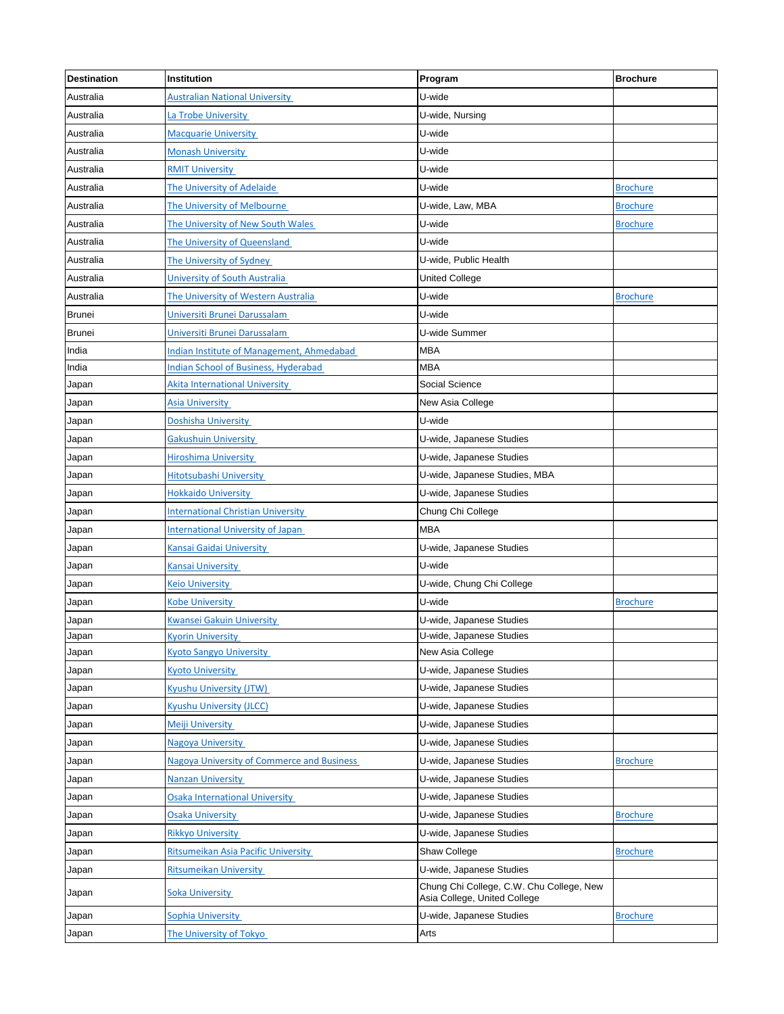| <b>Destination</b> | Institution                                      | Program                                                                  | <b>Brochure</b> |
|--------------------|--------------------------------------------------|--------------------------------------------------------------------------|-----------------|
| Australia          | <b>Australian National University</b>            | U-wide                                                                   |                 |
| Australia          | La Trobe University                              | U-wide, Nursing                                                          |                 |
| Australia          | <b>Macquarie University</b>                      | U-wide                                                                   |                 |
| Australia          | <b>Monash University</b>                         | U-wide                                                                   |                 |
| Australia          | <b>RMIT University</b>                           | U-wide                                                                   |                 |
| Australia          | The University of Adelaide                       | U-wide                                                                   | <b>Brochure</b> |
| Australia          | The University of Melbourne                      | U-wide, Law, MBA                                                         | <b>Brochure</b> |
| Australia          | The University of New South Wales                | U-wide                                                                   | <b>Brochure</b> |
| Australia          | The University of Queensland                     | U-wide                                                                   |                 |
| Australia          | The University of Sydney                         | U-wide, Public Health                                                    |                 |
| Australia          | University of South Australia                    | United College                                                           |                 |
| Australia          | The University of Western Australia              | U-wide                                                                   | <b>Brochure</b> |
| <b>Brunei</b>      | Universiti Brunei Darussalam                     | U-wide                                                                   |                 |
| <b>Brunei</b>      | Universiti Brunei Darussalam                     | U-wide Summer                                                            |                 |
| India              | <b>Indian Institute of Management, Ahmedabad</b> | <b>MBA</b>                                                               |                 |
| India              | <b>Indian School of Business, Hyderabad</b>      | <b>MBA</b>                                                               |                 |
| Japan              | <b>Akita International University</b>            | Social Science                                                           |                 |
| Japan              | <b>Asia University</b>                           | New Asia College                                                         |                 |
| Japan              | Doshisha University                              | U-wide                                                                   |                 |
| Japan              | <b>Gakushuin University</b>                      | U-wide, Japanese Studies                                                 |                 |
| Japan              | <b>Hiroshima University</b>                      | U-wide, Japanese Studies                                                 |                 |
| Japan              | Hitotsubashi University                          | U-wide, Japanese Studies, MBA                                            |                 |
| Japan              | <b>Hokkaido University</b>                       | U-wide, Japanese Studies                                                 |                 |
| Japan              | <b>International Christian University</b>        | Chung Chi College                                                        |                 |
| Japan              | <b>International University of Japan</b>         | <b>MBA</b>                                                               |                 |
| Japan              | Kansai Gaidai University                         | U-wide, Japanese Studies                                                 |                 |
| Japan              | Kansai University                                | U-wide                                                                   |                 |
| Japan              | <b>Keio University</b>                           | U-wide, Chung Chi College                                                |                 |
| Japan              | Kobe University                                  | U-wide                                                                   | <b>Brochure</b> |
| Japan              | <b>Kwansei Gakuin University</b>                 | U-wide, Japanese Studies                                                 |                 |
| Japan              | <b>Kyorin University</b>                         | U-wide, Japanese Studies                                                 |                 |
| Japan              | <b>Kyoto Sangyo University</b>                   | New Asia College                                                         |                 |
| Japan              | <b>Kvoto University</b>                          | U-wide, Japanese Studies                                                 |                 |
| Japan              | <b>Kyushu University (JTW)</b>                   | U-wide, Japanese Studies                                                 |                 |
| Japan              | Kyushu University (JLCC)                         | U-wide, Japanese Studies                                                 |                 |
| Japan              | Meiji University                                 | U-wide, Japanese Studies                                                 |                 |
| Japan              | <b>Nagoya University</b>                         | U-wide, Japanese Studies                                                 |                 |
| Japan              | Nagoya University of Commerce and Business       | U-wide, Japanese Studies                                                 | <b>Brochure</b> |
| Japan              | <b>Nanzan University</b>                         | U-wide, Japanese Studies                                                 |                 |
| Japan              | <b>Osaka International University</b>            | U-wide, Japanese Studies                                                 |                 |
| Japan              | <b>Osaka University</b>                          | U-wide, Japanese Studies                                                 | <b>Brochure</b> |
| Japan              | <b>Rikkyo University</b>                         | U-wide, Japanese Studies                                                 |                 |
| Japan              | Ritsumeikan Asia Pacific University              | Shaw College                                                             | <b>Brochure</b> |
| Japan              | <b>Ritsumeikan University</b>                    | U-wide, Japanese Studies                                                 |                 |
| Japan              | Soka University                                  | Chung Chi College, C.W. Chu College, New<br>Asia College, United College |                 |
| Japan              | Sophia University                                | U-wide, Japanese Studies                                                 | <b>Brochure</b> |
| Japan              | The University of Tokyo                          | Arts                                                                     |                 |
|                    |                                                  |                                                                          |                 |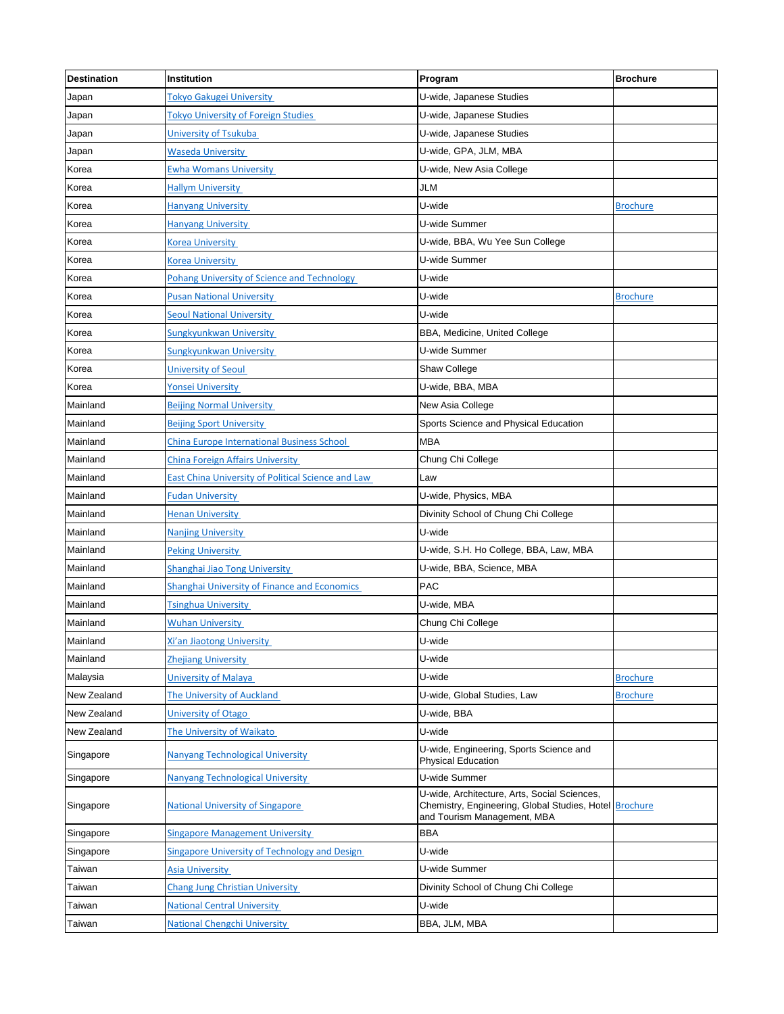| <b>Destination</b> | Institution                                        | Program                                                                                                                               | <b>Brochure</b> |
|--------------------|----------------------------------------------------|---------------------------------------------------------------------------------------------------------------------------------------|-----------------|
| Japan              | Tokyo Gakugei University                           | U-wide, Japanese Studies                                                                                                              |                 |
| Japan              | <b>Tokyo University of Foreign Studies</b>         | U-wide, Japanese Studies                                                                                                              |                 |
| Japan              | University of Tsukuba                              | U-wide, Japanese Studies                                                                                                              |                 |
| Japan              | <b>Waseda University</b>                           | U-wide, GPA, JLM, MBA                                                                                                                 |                 |
| Korea              | <b>Ewha Womans University</b>                      | U-wide, New Asia College                                                                                                              |                 |
| Korea              | <b>Hallym University</b>                           | JLM                                                                                                                                   |                 |
| Korea              | <b>Hanyang University</b>                          | U-wide                                                                                                                                | <b>Brochure</b> |
| Korea              | <b>Hanyang University</b>                          | U-wide Summer                                                                                                                         |                 |
| Korea              | <b>Korea University</b>                            | U-wide, BBA, Wu Yee Sun College                                                                                                       |                 |
| Korea              | <b>Korea University</b>                            | U-wide Summer                                                                                                                         |                 |
| Korea              | Pohang University of Science and Technology        | U-wide                                                                                                                                |                 |
| Korea              | <b>Pusan National University</b>                   | U-wide                                                                                                                                | <b>Brochure</b> |
| Korea              | <b>Seoul National University</b>                   | U-wide                                                                                                                                |                 |
| Korea              | Sungkyunkwan University                            | BBA, Medicine, United College                                                                                                         |                 |
| Korea              | Sungkyunkwan University                            | U-wide Summer                                                                                                                         |                 |
| Korea              | University of Seoul                                | Shaw College                                                                                                                          |                 |
| Korea              | <b>Yonsei University</b>                           | U-wide, BBA, MBA                                                                                                                      |                 |
| Mainland           | <b>Beijing Normal University</b>                   | New Asia College                                                                                                                      |                 |
| Mainland           | <b>Beijing Sport University</b>                    | Sports Science and Physical Education                                                                                                 |                 |
| Mainland           | <b>China Europe International Business School</b>  | <b>MBA</b>                                                                                                                            |                 |
| Mainland           | <b>China Foreign Affairs University</b>            | Chung Chi College                                                                                                                     |                 |
| Mainland           | East China University of Political Science and Law | Law                                                                                                                                   |                 |
| Mainland           | <b>Fudan University</b>                            | U-wide, Physics, MBA                                                                                                                  |                 |
| Mainland           | <b>Henan University</b>                            | Divinity School of Chung Chi College                                                                                                  |                 |
| Mainland           | <b>Nanjing University</b>                          | U-wide                                                                                                                                |                 |
| Mainland           | <b>Peking University</b>                           | U-wide, S.H. Ho College, BBA, Law, MBA                                                                                                |                 |
| Mainland           | Shanghai Jiao Tong University                      | U-wide, BBA, Science, MBA                                                                                                             |                 |
| Mainland           | Shanghai University of Finance and Economics       | PAC                                                                                                                                   |                 |
| Mainland           | <b>Tsinghua University</b>                         | U-wide, MBA                                                                                                                           |                 |
| Mainland           | <b>Wuhan University</b>                            | Chung Chi College                                                                                                                     |                 |
| Mainland           | Xi'an Jiaotong University                          | U-wide                                                                                                                                |                 |
| Mainland           | <b>Zhejiang University</b>                         | U-wide                                                                                                                                |                 |
| Malaysia           | University of Malaya                               | U-wide                                                                                                                                | <b>Brochure</b> |
| New Zealand        | The University of Auckland                         | U-wide, Global Studies, Law                                                                                                           | <b>Brochure</b> |
| New Zealand        | <b>University of Otago</b>                         | U-wide, BBA                                                                                                                           |                 |
| New Zealand        | The University of Waikato                          | U-wide                                                                                                                                |                 |
| Singapore          | <b>Nanyang Technological University</b>            | U-wide, Engineering, Sports Science and<br><b>Physical Education</b>                                                                  |                 |
| Singapore          | <b>Nanyang Technological University</b>            | U-wide Summer                                                                                                                         |                 |
| Singapore          | <b>National University of Singapore</b>            | U-wide, Architecture, Arts, Social Sciences,<br>Chemistry, Engineering, Global Studies, Hotel Brochure<br>and Tourism Management, MBA |                 |
| Singapore          | <b>Singapore Management University</b>             | <b>BBA</b>                                                                                                                            |                 |
| Singapore          | Singapore University of Technology and Design      | U-wide                                                                                                                                |                 |
| Taiwan             | <b>Asia University</b>                             | U-wide Summer                                                                                                                         |                 |
| Taiwan             | <b>Chang Jung Christian University</b>             | Divinity School of Chung Chi College                                                                                                  |                 |
| Taiwan             | <b>National Central University</b>                 | U-wide                                                                                                                                |                 |
| Taiwan             | <b>National Chengchi University</b>                | BBA, JLM, MBA                                                                                                                         |                 |